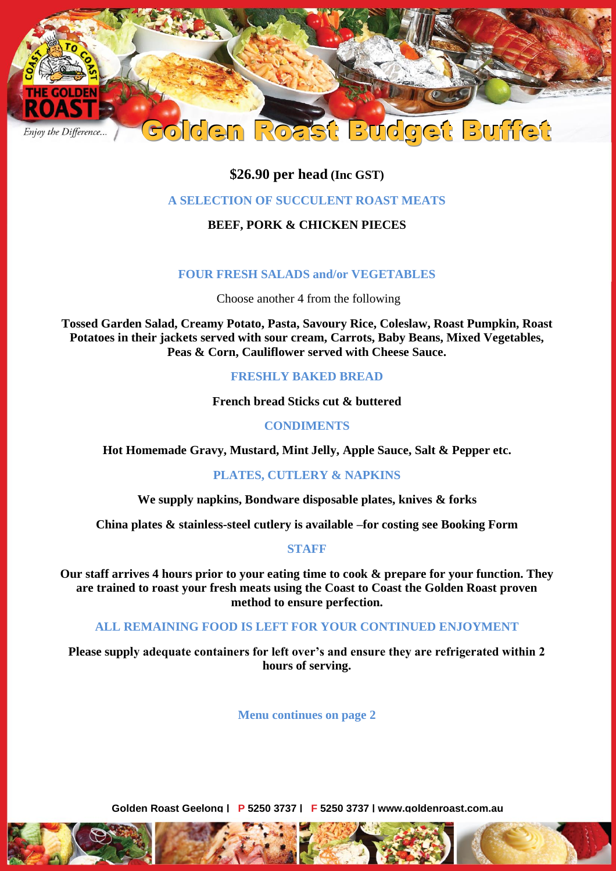

# **\$26.90 per head (Inc GST)**

### **A SELECTION OF SUCCULENT ROAST MEATS**

## **BEEF, PORK & CHICKEN PIECES**

### **FOUR FRESH SALADS and/or VEGETABLES**

Choose another 4 from the following

**Tossed Garden Salad, Creamy Potato, Pasta, Savoury Rice, Coleslaw, Roast Pumpkin, Roast Potatoes in their jackets served with sour cream, Carrots, Baby Beans, Mixed Vegetables, Peas & Corn, Cauliflower served with Cheese Sauce.**

#### **FRESHLY BAKED BREAD**

**French bread Sticks cut & buttered** 

### **CONDIMENTS**

**Hot Homemade Gravy, Mustard, Mint Jelly, Apple Sauce, Salt & Pepper etc.**

### **PLATES, CUTLERY & NAPKINS**

**We supply napkins, Bondware disposable plates, knives & forks**

**China plates & stainless-steel cutlery is available –for costing see Booking Form**

### **STAFF**

**Our staff arrives 4 hours prior to your eating time to cook & prepare for your function. They are trained to roast your fresh meats using the Coast to Coast the Golden Roast proven method to ensure perfection.**

### **ALL REMAINING FOOD IS LEFT FOR YOUR CONTINUED ENJOYMENT**

**Please supply adequate containers for left over's and ensure they are refrigerated within 2 hours of serving.**

**Menu continues on page 2**

**Golden Roast Geelong | P 5250 3737 | F 5250 3737 | www.goldenroast.com.au**